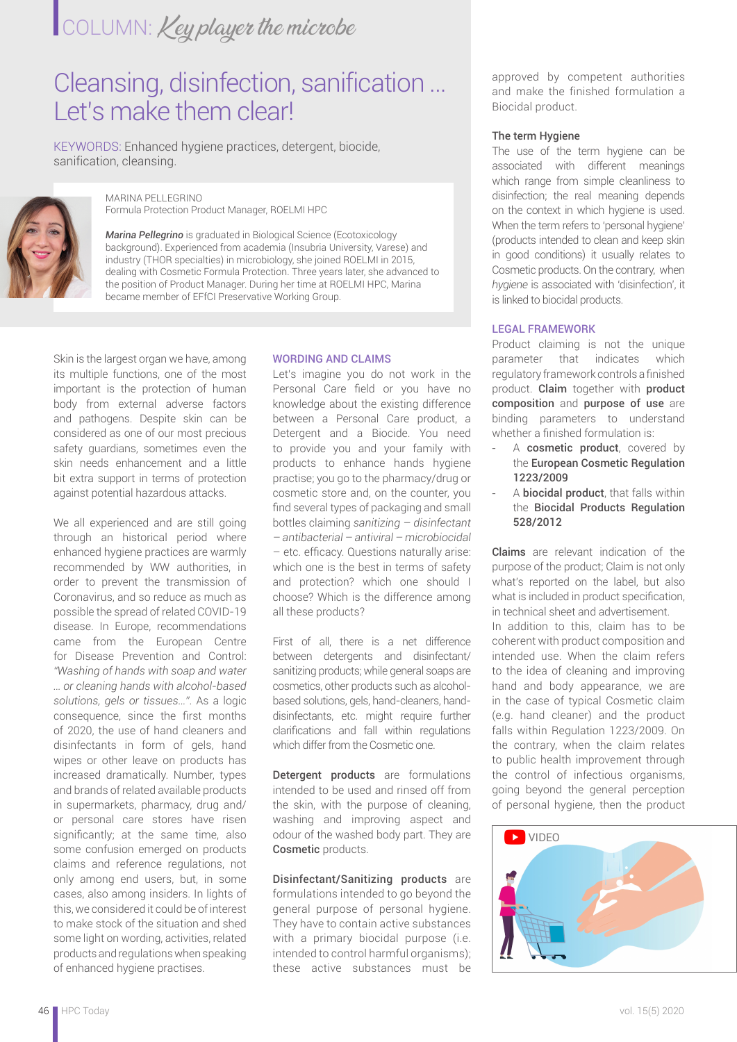# COLUMN: Key player the microbe

## Cleansing, disinfection, sanification … Let's make them clear!

KEYWORDS: Enhanced hygiene practices, detergent, biocide, sanification, cleansing.



MARINA PELLEGRINO Formula Protection Product Manager, ROELMI HPC

*Marina Pellegrino* is graduated in Biological Science (Ecotoxicology background). Experienced from academia (Insubria University, Varese) and industry (THOR specialties) in microbiology, she joined ROELMI in 2015, dealing with Cosmetic Formula Protection. Three years later, she advanced to the position of Product Manager. During her time at ROELMI HPC, Marina became member of EFfCI Preservative Working Group.

Skin is the largest organ we have, among its multiple functions, one of the most important is the protection of human body from external adverse factors and pathogens. Despite skin can be considered as one of our most precious safety guardians, sometimes even the skin needs enhancement and a little bit extra support in terms of protection against potential hazardous attacks.

We all experienced and are still going through an historical period where enhanced hygiene practices are warmly recommended by WW authorities, in order to prevent the transmission of Coronavirus, and so reduce as much as possible the spread of related COVID-19 disease. In Europe, recommendations came from the European Centre for Disease Prevention and Control: *"Washing of hands with soap and water … or cleaning hands with alcohol-based solutions, gels or tissues…"*. As a logic consequence, since the first months of 2020, the use of hand cleaners and disinfectants in form of gels, hand wipes or other leave on products has increased dramatically. Number, types and brands of related available products in supermarkets, pharmacy, drug and/ or personal care stores have risen significantly; at the same time, also some confusion emerged on products claims and reference regulations, not only among end users, but, in some cases, also among insiders. In lights of this, we considered it could be of interest to make stock of the situation and shed some light on wording, activities, related products and regulations when speaking of enhanced hygiene practises.

### WORDING AND CLAIMS

Let's imagine you do not work in the Personal Care field or you have no knowledge about the existing difference between a Personal Care product, a Detergent and a Biocide. You need to provide you and your family with products to enhance hands hygiene practise; you go to the pharmacy/drug or cosmetic store and, on the counter, you find several types of packaging and small bottles claiming *sanitizing – disinfectant – antibacterial – antiviral – microbiocidal*  – etc. efficacy. Questions naturally arise: which one is the best in terms of safety and protection? which one should I choose? Which is the difference among all these products?

First of all, there is a net difference between detergents and disinfectant/ sanitizing products; while general soaps are cosmetics, other products such as alcoholbased solutions, gels, hand-cleaners, handdisinfectants, etc. might require further clarifications and fall within regulations which differ from the Cosmetic one.

Detergent products are formulations intended to be used and rinsed off from the skin, with the purpose of cleaning, washing and improving aspect and odour of the washed body part. They are Cosmetic products.

Disinfectant/Sanitizing products are formulations intended to go beyond the general purpose of personal hygiene. They have to contain active substances with a primary biocidal purpose (i.e. intended to control harmful organisms); these active substances must be approved by competent authorities and make the finished formulation a Biocidal product.

#### The term Hygiene

The use of the term hygiene can be associated with different meanings which range from simple cleanliness to disinfection; the real meaning depends on the context in which hygiene is used. When the term refers to 'personal hygiene' (products intended to clean and keep skin in good conditions) it usually relates to Cosmetic products. On the contrary, when *hygiene* is associated with 'disinfection', it is linked to biocidal products.

#### LEGAL FRAMEWORK

Product claiming is not the unique parameter that indicates which regulatory framework controls a finished product. Claim together with product composition and purpose of use are binding parameters to understand whether a finished formulation is:

- A cosmetic product, covered by the European Cosmetic Regulation 1223/2009
- A **biocidal product**, that falls within the Biocidal Products Regulation 528/2012

Claims are relevant indication of the purpose of the product; Claim is not only what's reported on the label, but also what is included in product specification. in technical sheet and advertisement. In addition to this, claim has to be coherent with product composition and intended use. When the claim refers to the idea of cleaning and improving hand and body appearance, we are in the case of typical Cosmetic claim (e.g. hand cleaner) and the product falls within Regulation 1223/2009. On the contrary, when the claim relates to public health improvement through the control of infectious organisms, going beyond the general perception of personal hygiene, then the product